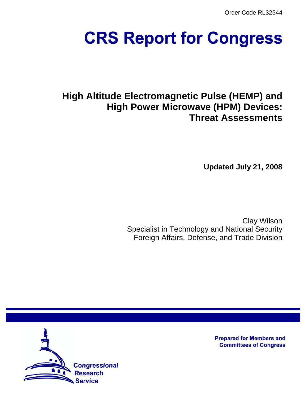Order Code RL32544

# **CRS Report for Congress**

# **High Altitude Electromagnetic Pulse (HEMP) and High Power Microwave (HPM) Devices: Threat Assessments**

**Updated July 21, 2008**

Clay Wilson Specialist in Technology and National Security Foreign Affairs, Defense, and Trade Division



**Prepared for Members and Committees of Congress**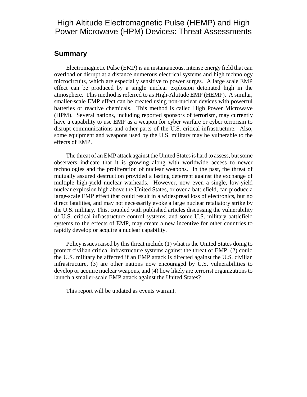# High Altitude Electromagnetic Pulse (HEMP) and High Power Microwave (HPM) Devices: Threat Assessments

# **Summary**

Electromagnetic Pulse (EMP) is an instantaneous, intense energy field that can overload or disrupt at a distance numerous electrical systems and high technology microcircuits, which are especially sensitive to power surges. A large scale EMP effect can be produced by a single nuclear explosion detonated high in the atmosphere. This method is referred to as High-Altitude EMP (HEMP). A similar, smaller-scale EMP effect can be created using non-nuclear devices with powerful batteries or reactive chemicals. This method is called High Power Microwave (HPM). Several nations, including reported sponsors of terrorism, may currently have a capability to use EMP as a weapon for cyber warfare or cyber terrorism to disrupt communications and other parts of the U.S. critical infrastructure. Also, some equipment and weapons used by the U.S. military may be vulnerable to the effects of EMP.

The threat of an EMP attack against the United States is hard to assess, but some observers indicate that it is growing along with worldwide access to newer technologies and the proliferation of nuclear weapons. In the past, the threat of mutually assured destruction provided a lasting deterrent against the exchange of multiple high-yield nuclear warheads. However, now even a single, low-yield nuclear explosion high above the United States, or over a battlefield, can produce a large-scale EMP effect that could result in a widespread loss of electronics, but no direct fatalities, and may not necessarily evoke a large nuclear retaliatory strike by the U.S. military. This, coupled with published articles discussing the vulnerability of U.S. critical infrastructure control systems, and some U.S. military battlefield systems to the effects of EMP, may create a new incentive for other countries to rapidly develop or acquire a nuclear capability.

Policy issues raised by this threat include (1) what is the United States doing to protect civilian critical infrastructure systems against the threat of EMP, (2) could the U.S. military be affected if an EMP attack is directed against the U.S. civilian infrastructure, (3) are other nations now encouraged by U.S. vulnerabilities to develop or acquire nuclear weapons, and (4) how likely are terrorist organizations to launch a smaller-scale EMP attack against the United States?

This report will be updated as events warrant.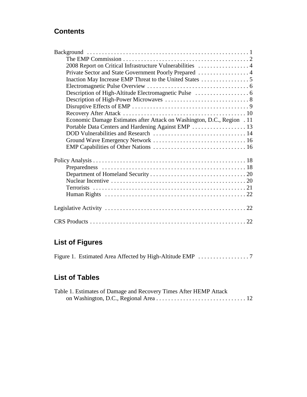# **Contents**

| 2008 Report on Critical Infrastructure Vulnerabilities  4               |  |
|-------------------------------------------------------------------------|--|
|                                                                         |  |
| Inaction May Increase EMP Threat to the United States 5                 |  |
|                                                                         |  |
|                                                                         |  |
|                                                                         |  |
|                                                                         |  |
|                                                                         |  |
| Economic Damage Estimates after Attack on Washington, D.C., Region . 11 |  |
|                                                                         |  |
|                                                                         |  |
|                                                                         |  |
|                                                                         |  |
|                                                                         |  |
|                                                                         |  |
|                                                                         |  |
|                                                                         |  |
|                                                                         |  |
|                                                                         |  |
|                                                                         |  |
|                                                                         |  |
|                                                                         |  |
|                                                                         |  |

# **List of Figures**

|--|--|--|

# **List of Tables**

| Table 1. Estimates of Damage and Recovery Times After HEMP Attack |  |
|-------------------------------------------------------------------|--|
|                                                                   |  |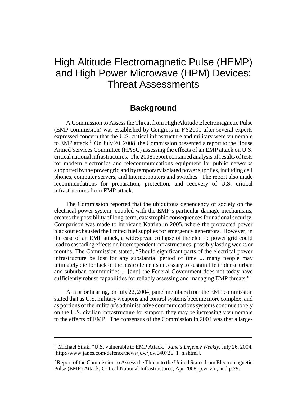# High Altitude Electromagnetic Pulse (HEMP) and High Power Microwave (HPM) Devices: Threat Assessments

# **Background**

A Commission to Assess the Threat from High Altitude Electromagnetic Pulse (EMP commission) was established by Congress in FY2001 after several experts expressed concern that the U.S. critical infrastructure and military were vulnerable to EMP attack.<sup>1</sup> On July 20, 2008, the Commission presented a report to the House Armed Services Committee (HASC) assessing the effects of an EMP attack on U.S. critical national infrastructures. The 2008 report contained analysis of results of tests for modern electronics and telecommunications equipment for public networks supported by the power grid and by temporary isolated power supplies, including cell phones, computer servers, and Internet routers and switches. The report also made recommendations for preparation, protection, and recovery of U.S. critical infrastructures from EMP attack.

The Commission reported that the ubiquitous dependency of society on the electrical power system, coupled with the EMP's particular damage mechanisms, creates the possibility of long-term, catastrophic consequences for national security. Comparison was made to hurricane Katrina in 2005, where the protracted power blackout exhausted the limited fuel supplies for emergency generators. However, in the case of an EMP attack, a widespread collapse of the electric power grid could lead to cascading effects on interdependent infrastructures, possibly lasting weeks or months. The Commission stated, "Should significant parts of the electrical power infrastructure be lost for any substantial period of time ... many people may ultimately die for lack of the basic elements necessary to sustain life in dense urban and suburban communities ... [and] the Federal Government does not today have sufficiently robust capabilities for reliably assessing and managing EMP threats."<sup>2</sup>

At a prior hearing, on July 22, 2004, panel members from the EMP commission stated that as U.S. military weapons and control systems become more complex, and as portions of the military's administrative communications systems continue to rely on the U.S. civilian infrastructure for support, they may be increasingly vulnerable to the effects of EMP. The consensus of the Commission in 2004 was that a large-

<sup>&</sup>lt;sup>1</sup> Michael Sirak, "U.S. vulnerable to EMP Attack," Jane's Defence Weekly, July 26, 2004, [http://www.janes.com/defence/news/jdw/jdw040726\_1\_n.shtml].

<sup>&</sup>lt;sup>2</sup> Report of the Commission to Assess the Threat to the United States from Electromagnetic Pulse (EMP) Attack; Critical National Infrastructures, Apr 2008, p.vi-viii, and p.79.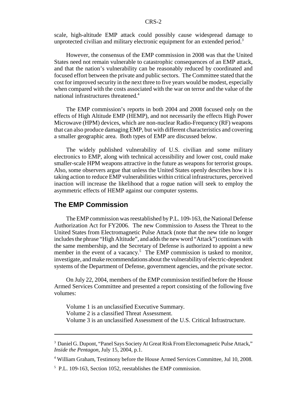scale, high-altitude EMP attack could possibly cause widespread damage to unprotected civilian and military electronic equipment for an extended period.<sup>3</sup>

However, the consensus of the EMP commission in 2008 was that the United States need not remain vulnerable to catastrophic consequences of an EMP attack, and that the nation's vulnerability can be reasonably reduced by coordinated and focused effort between the private and public sectors. The Committee stated that the cost for improved security in the next three to five years would be modest, especially when compared with the costs associated with the war on terror and the value of the national infrastructures threatened.<sup>4</sup>

The EMP commission's reports in both 2004 and 2008 focused only on the effects of High Altitude EMP (HEMP), and not necessarily the effects High Power Microwave (HPM) devices, which are non-nuclear Radio-Frequency (RF) weapons that can also produce damaging EMP, but with different characteristics and covering a smaller geographic area. Both types of EMP are discussed below.

The widely published vulnerability of U.S. civilian and some military electronics to EMP, along with technical accessibility and lower cost, could make smaller-scale HPM weapons attractive in the future as weapons for terrorist groups. Also, some observers argue that unless the United States openly describes how it is taking action to reduce EMP vulnerabilities within critical infrastructures, perceived inaction will increase the likelihood that a rogue nation will seek to employ the asymmetric effects of HEMP against our computer systems.

# **The EMP Commission**

The EMP commission was reestablished by P.L. 109-163, the National Defense Authorization Act for FY2006. The new Commission to Assess the Threat to the United States from Electromagnetic Pulse Attack (note that the new title no longer includes the phrase "High Altitude", and adds the new word "Attack") continues with the same membership, and the Secretary of Defense is authorized to appoint a new member in the event of a vacancy.<sup>5</sup> The EMP commission is tasked to monitor, investigate, and make recommendations about the vulnerability of electric-dependent systems of the Department of Defense, government agencies, and the private sector.

On July 22, 2004, members of the EMP commission testified before the House Armed Services Committee and presented a report consisting of the following five volumes:

Volume 1 is an unclassified Executive Summary. Volume 2 is a classified Threat Assessment. Volume 3 is an unclassified Assessment of the U.S. Critical Infrastructure.

<sup>&</sup>lt;sup>3</sup> Daniel G. Dupont, "Panel Says Society At Great Risk From Electomagnetic Pulse Attack," *Inside the Pentagon*, July 15, 2004, p.1.

<sup>&</sup>lt;sup>4</sup> William Graham, Testimony before the House Armed Services Committee, Jul 10, 2008.

<sup>5</sup> P.L. 109-163, Section 1052, reestablishes the EMP commission.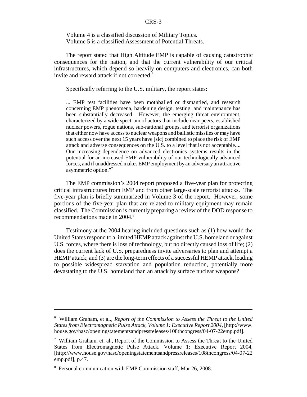Volume 4 is a classified discussion of Military Topics. Volume 5 is a classified Assessment of Potential Threats.

The report stated that High Altitude EMP is capable of causing catastrophic consequences for the nation, and that the current vulnerability of our critical infrastructures, which depend so heavily on computers and electronics, can both invite and reward attack if not corrected.<sup>6</sup>

Specifically referring to the U.S. military, the report states:

... EMP test facilities have been mothballed or dismantled, and research concerning EMP phenomena, hardening design, testing, and maintenance has been substantially decreased. However, the emerging threat environment, characterized by a wide spectrum of actors that include near-peers, established nuclear powers, rogue nations, sub-national groups, and terrorist organizations that either now have access to nuclear weapons and ballistic missiles or may have such access over the next 15 years have [sic] combined to place the risk of EMP attack and adverse consequences on the U.S. to a level that is not acceptable.... Our increasing dependence on advanced electronics systems results in the potential for an increased EMP vulnerability of our technologically advanced forces, and if unaddressed makes EMP employment by an adversary an attractive asymmetric option."7

The EMP commission's 2004 report proposed a five-year plan for protecting critical infrastructures from EMP and from other large-scale terrorist attacks. The five-year plan is briefly summarized in Volume 3 of the report. However, some portions of the five-year plan that are related to military equipment may remain classified. The Commission is currently preparing a review of the DOD response to recommendations made in 2004.<sup>8</sup>

Testimony at the 2004 hearing included questions such as (1) how would the United States respond to a limited HEMP attack against the U.S. homeland or against U.S. forces, where there is loss of technology, but no directly caused loss of life; (2) does the current lack of U.S. preparedness invite adversaries to plan and attempt a HEMP attack; and (3) are the long-term effects of a successful HEMP attack, leading to possible widespread starvation and population reduction, potentially more devastating to the U.S. homeland than an attack by surface nuclear weapons?

<sup>6</sup> William Graham, et al., *Report of the Commission to Assess the Threat to the United States from Electromagnetic Pulse Attack, Volume 1: Executive Report 2004*, [http://www. house.gov/hasc/openingstatementsandpressreleases/108thcongress/04-07-22emp.pdf].

<sup>&</sup>lt;sup>7</sup> William Graham, et. al., Report of the Commission to Assess the Threat to the United States from Electromagnetic Pulse Attack, Volume 1: Executive Report 2004, [http://www.house.gov/hasc/openingstatementsandpressreleases/108thcongress/04-07-22 emp.pdf], p.47.

<sup>8</sup> Personal communication with EMP Commission staff, Mar 26, 2008.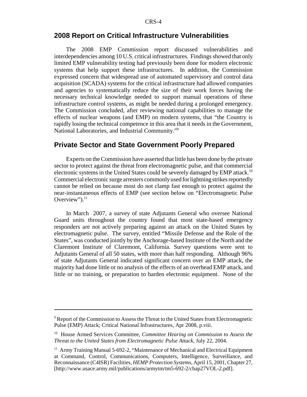# **2008 Report on Critical Infrastructure Vulnerabilities**

The 2008 EMP Commission report discussed vulnerabilities and interdependencies among 10 U.S. critical infrastructures. Findings showed that only limited EMP vulnerability testing had previously been done for modern electronic systems that help support these infrastructures. In addition, the Commission expressed concern that widespread use of automated supervisory and control data acquisition (SCADA) systems for the critical infrastructure had allowed companies and agencies to systematically reduce the size of their work forces having the necessary technical knowledge needed to support manual operations of these infrastructure control systems, as might be needed during a prolonged emergency. The Commission concluded, after reviewing national capabilities to manage the effects of nuclear weapons (and EMP) on modern systems, that "the Country is rapidly losing the technical competence in this area that it needs in the Government, National Laboratories, and Industrial Community."9

#### **Private Sector and State Government Poorly Prepared**

Experts on the Commission have asserted that little has been done by the private sector to protect against the threat from electromagnetic pulse, and that commercial electronic systems in the United States could be severely damaged by EMP attack.<sup>10</sup> Commercial electronic surge arresters commonly used for lightning strikes reportedly cannot be relied on because most do not clamp fast enough to protect against the near-instantaneous effects of EMP (see section below on "Electromagnetic Pulse Overview"). $^{11}$ 

In March 2007, a survey of state Adjutants General who oversee National Guard units throughout the country found that most state-based emergency responders are not actively preparing against an attack on the United States by electromagnetic pulse. The survey, entitled "Missile Defense and the Role of the States", was conducted jointly by the Anchorage-based Institute of the North and the Claremont Institute of Claremont, California. Survey questions were sent to Adjutants General of all 50 states, with more than half responding. Although 96% of state Adjutants General indicated significant concern over an EMP attack, the majority had done little or no analysis of the effects of an overhead EMP attack, and little or no training, or preparation to harden electronic equipment. None of the

<sup>&</sup>lt;sup>9</sup> Report of the Commission to Assess the Threat to the United States from Electromagnetic Pulse (EMP) Attack; Critical National Infrastructures, Apr 2008, p.viii.

<sup>10</sup> House Armed Services Committee, *Committee Hearing on Commission to Assess the Threat to the United States from Electromagnetic Pulse Attack*, July 22, 2004.

<sup>&</sup>lt;sup>11</sup> Army Training Manual 5-692-2, "Maintenance of Mechanical and Electrical Equipment at Command, Control, Communications, Computers, Intelligence, Surveillance, and Reconnaissance (C4ISR) Facilities, *HEMP Protection Systems*, April 15, 2001, Chapter 27, [http://www.usace.army.mil/publications/armytm/tm5-692-2/chap27VOL-2.pdf].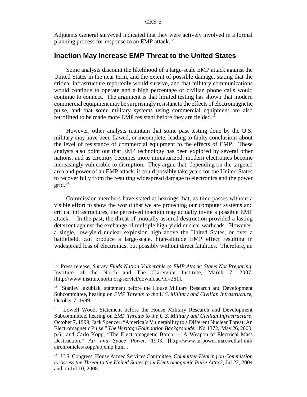Adjutants General surveyed indicated that they were actively involved in a formal planning process for response to an EMP attack.<sup>12</sup>

### **Inaction May Increase EMP Threat to the United States**

Some analysts discount the likelihood of a large-scale EMP attack against the United States in the near term, and the extent of possible damage, stating that the critical infrastructure reportedly would survive, and that military communications would continue to operate and a high percentage of civilian phone calls would continue to connect. The argument is that limited testing has shown that modern commercial equipment may be surprisingly resistant to the effects of electromagnetic pulse, and that some military systems using commercial equipment are also retrofitted to be made more EMP resistant before they are fielded.<sup>13</sup>

However, other analysts maintain that some past testing done by the U.S. military may have been flawed, or incomplete, leading to faulty conclusions about the level of resistance of commercial equipment to the effects of EMP. These analysts also point out that EMP technology has been explored by several other nations, and as circuitry becomes more miniaturized, modern electronics become increasingly vulnerable to disruption. They argue that, depending on the targeted area and power of an EMP attack, it could possibly take years for the United States to recover fully from the resulting widespread damage to electronics and the power  $grid.<sup>14</sup>$ 

Commission members have stated at hearings that, as time passes without a visible effort to show the world that we are protecting our computer systems and critical infrastructures, the perceived inaction may actually invite a possible EMP attack.<sup>15</sup> In the past, the threat of mutually assured destruction provided a lasting deterrent against the exchange of multiple high-yield nuclear warheads. However, a single, low-yield nuclear explosion high above the United States, or over a battlefield, can produce a large-scale, high-altitude EMP effect resulting in widespread loss of electronics, but possibly without direct fatalities. Therefore, an

<sup>12</sup> Press release, *Survey Finds Nation Vulnerable to EMP Attack: States Not Preparing*, Institute of the North and The Claremont Institute, March 7, 2007, [http://www.institutenorth.org/servlet/download?id=261].

<sup>&</sup>lt;sup>13</sup> Stanley Jakubiak, statement before the House Military Research and Development Subcommittee, hearing on *EMP Threats to the U.S. Military and Civilian Infrastructure*, October 7, 1999.

<sup>&</sup>lt;sup>14</sup> Lowell Wood, Statement before the House Military Research and Development Subcommittee, hearing on *EMP Threats to the U.S. Military and Civilian Infrastructure*, October 7, 1999; Jack Spencer, "America's Vulnerability to a Different Nuclear Threat: An Electromagnetic Pulse," *The Heritage Foundation Backgrounder*, No.1372, May 26, 2000, p.6.; and Carlo Kopp, "The Electromagnetic Bomb — A Weapon of Electrical Mass Destruction," *Air and Space Power*, 1993, [http://www.airpower.maxwell.af.mil/ airchronicles/kopp/apjemp.html].

<sup>15</sup> U.S. Congress, House Armed Services Committee, *Committee Hearing on Commission to Assess the Threat to the United States from Electromagnetic Pulse Attack*, Jul 22, 2004 and on Jul 10, 2008.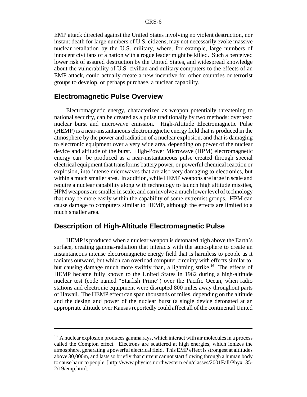EMP attack directed against the United States involving no violent destruction, nor instant death for large numbers of U.S. citizens, may not necessarily evoke massive nuclear retaliation by the U.S. military, where, for example, large numbers of innocent civilians of a nation with a rogue leader might be killed. Such a perceived lower risk of assured destruction by the United States, and widespread knowledge about the vulnerability of U.S. civilian and military computers to the effects of an EMP attack, could actually create a new incentive for other countries or terrorist groups to develop, or perhaps purchase, a nuclear capability.

### **Electromagnetic Pulse Overview**

Electromagnetic energy, characterized as weapon potentially threatening to national security, can be created as a pulse traditionally by two methods: overhead nuclear burst and microwave emission. High-Altitude Electromagnetic Pulse (HEMP) is a near-instantaneous electromagnetic energy field that is produced in the atmosphere by the power and radiation of a nuclear explosion, and that is damaging to electronic equipment over a very wide area, depending on power of the nuclear device and altitude of the burst. High-Power Microwave (HPM) electromagnetic energy can be produced as a near-instantaneous pulse created through special electrical equipment that transforms battery power, or powerful chemical reaction or explosion, into intense microwaves that are also very damaging to electronics, but within a much smaller area. In addition, while HEMP weapons are large in scale and require a nuclear capability along with technology to launch high altitude missiles, HPM weapons are smaller in scale, and can involve a much lower level of technology that may be more easily within the capability of some extremist groups. HPM can cause damage to computers similar to HEMP, although the effects are limited to a much smaller area.

### **Description of High-Altitude Electromagnetic Pulse**

HEMP is produced when a nuclear weapon is detonated high above the Earth's surface, creating gamma-radiation that interacts with the atmosphere to create an instantaneous intense electromagnetic energy field that is harmless to people as it radiates outward, but which can overload computer circuitry with effects similar to, but causing damage much more swiftly than, a lightning strike.<sup>16</sup> The effects of HEMP became fully known to the United States in 1962 during a high-altitude nuclear test (code named "Starfish Prime") over the Pacific Ocean, when radio stations and electronic equipment were disrupted 800 miles away throughout parts of Hawaii. The HEMP effect can span thousands of miles, depending on the altitude and the design and power of the nuclear burst (a single device detonated at an appropriate altitude over Kansas reportedly could affect all of the continental United

<sup>&</sup>lt;sup>16</sup> A nuclear explosion produces gamma rays, which interact with air molecules in a process called the Compton effect. Electrons are scattered at high energies, which ionizes the atmosphere, generating a powerful electrical field. This EMP effect is strongest at altitudes above 30,000m, and lasts so briefly that current cannot start flowing through a human body to cause harm to people. [http://www.physics.northwestern.edu/classes/2001Fall/Phyx135- 2/19/emp.htm].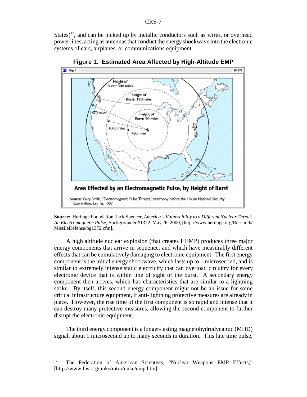States)<sup>17</sup>, and can be picked up by metallic conductors such as wires, or overhead power lines, acting as antennas that conduct the energy shockwave into the electronic systems of cars, airplanes, or communications equipment.



**Figure 1. Estimated Area Affected by High-Altitude EMP**

A high altitude nuclear explosion (that creates HEMP) produces three major energy components that arrive in sequence, and which have measurably different effects that can be cumulatively damaging to electronic equipment. The first energy component is the initial energy shockwave, which lasts up to 1 microsecond, and is similar to extremely intense static electricity that can overload circuitry for every electronic device that is within line of sight of the burst. A secondary energy component then arrives, which has characteristics that are similar to a lightning strike. By itself, this second energy component might not be an issue for some critical infrastructure equipment, if anti-lightning protective measures are already in place. However, the rise time of the first component is so rapid and intense that it can destroy many protective measures, allowing the second component to further disrupt the electronic equipment.

The third energy component is a longer-lasting magnetohydrodynamic (MHD) signal, about 1 microsecond up to many seconds in duration. This late time pulse,

**Source:** Heritage Foundation, Jack Spencer, *America's Vulnerability to a Different Nuclear Threat: An Electromagnetic Pulse*, Backgrounder #1372, May 26, 2000, [http://www.heritage.org/Research/ MissileDefense/bg1372.cfm].

<sup>&</sup>lt;sup>17</sup> The Federation of American Scientists, "Nuclear Weapons EMP Effects," [http://www.fas.org/nuke/intro/nuke/emp.htm].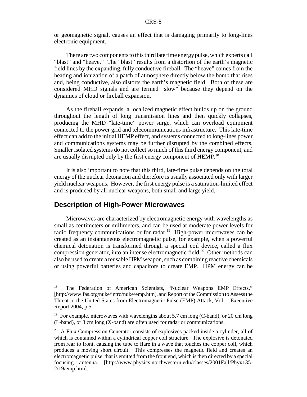or geomagnetic signal, causes an effect that is damaging primarily to long-lines electronic equipment.

There are two components to this third late time energy pulse, which experts call "blast" and "heave." The "blast" results from a distortion of the earth's magnetic field lines by the expanding, fully conductive fireball. The "heave" comes from the heating and ionization of a patch of atmosphere directly below the bomb that rises and, being conductive, also distorts the earth's magnetic field. Both of these are considered MHD signals and are termed "slow" because they depend on the dynamics of cloud or fireball expansion.

As the fireball expands, a localized magnetic effect builds up on the ground throughout the length of long transmission lines and then quickly collapses, producing the MHD "late-time" power surge, which can overload equipment connected to the power grid and telecommunications infrastructure. This late-time effect can add to the initial HEMP effect, and systems connected to long-lines power and communications systems may be further disrupted by the combined effects. Smaller isolated systems do not collect so much of this third energy component, and are usually disrupted only by the first energy component of HEMP.<sup>18</sup>

It is also important to note that this third, late-time pulse depends on the total energy of the nuclear detonation and therefore is usually associated only with larger yield nuclear weapons. However, the first energy pulse is a saturation-limited effect and is produced by all nuclear weapons, both small and large yield.

# **Description of High-Power Microwaves**

Microwaves are characterized by electromagnetic energy with wavelengths as small as centimeters or millimeters, and can be used at moderate power levels for radio frequency communications or for radar.<sup>19</sup> High-power microwaves can be created as an instantaneous electromagnetic pulse, for example, when a powerful chemical detonation is transformed through a special coil device, called a flux compression generator, into an intense electromagnetic field.<sup>20</sup> Other methods can also be used to create a reusable HPM weapon, such as combining reactive chemicals or using powerful batteries and capacitors to create EMP. HPM energy can be

<sup>&</sup>lt;sup>18</sup> The Federation of American Scientists, "Nuclear Weapons EMP Effects," [http://www.fas.org/nuke/intro/nuke/emp.htm], and Report of the Commission to Assess the Threat to the United States from Electromagnetic Pulse (EMP) Attack, Vol.1: Executive Report 2004, p.5.

<sup>&</sup>lt;sup>19</sup> For example, microwaves with wavelengths about 5.7 cm long (C-band), or 20 cm long (L-band), or 3 cm long (X-band) are often used for radar or communications.

 $20$  A Flux Compression Generator consists of explosives packed inside a cylinder, all of which is contained within a cylindrical copper coil structure. The explosive is detonated from rear to front, causing the tube to flare in a wave that touches the copper coil, which produces a moving short circuit. This compresses the magnetic field and creates an electromagnetic pulse that is emitted from the front end, which is then directed by a special focusing antenna. [http://www.physics.northwestern.edu/classes/2001Fall/Phyx135- 2/19/emp.htm].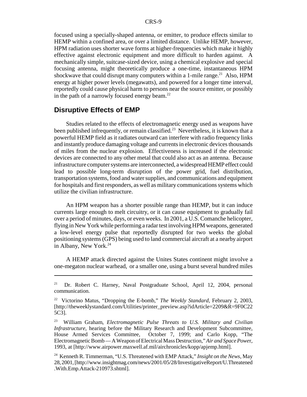focused using a specially-shaped antenna, or emitter, to produce effects similar to HEMP within a confined area, or over a limited distance. Unlike HEMP, however, HPM radiation uses shorter wave forms at higher-frequencies which make it highly effective against electronic equipment and more difficult to harden against. A mechanically simple, suitcase-sized device, using a chemical explosive and special focusing antenna, might theoretically produce a one-time, instantaneous HPM shockwave that could disrupt many computers within a 1-mile range.<sup>21</sup> Also, HPM energy at higher power levels (megawatts), and powered for a longer time interval, reportedly could cause physical harm to persons near the source emitter, or possibly in the path of a narrowly focused energy beam. $^{22}$ 

#### **Disruptive Effects of EMP**

Studies related to the effects of electromagnetic energy used as weapons have been published infrequently, or remain classified.<sup>23</sup> Nevertheless, it is known that a powerful HEMP field as it radiates outward can interfere with radio frequency links and instantly produce damaging voltage and currents in electronic devices thousands of miles from the nuclear explosion. Effectiveness is increased if the electronic devices are connected to any other metal that could also act as an antenna. Because infrastructure computer systems are interconnected, a widespread HEMP effect could lead to possible long-term disruption of the power grid, fuel distribution, transportation systems, food and water supplies, and communications and equipment for hospitals and first responders, as well as military communications systems which utilize the civilian infrastructure.

An HPM weapon has a shorter possible range than HEMP, but it can induce currents large enough to melt circuitry, or it can cause equipment to gradually fail over a period of minutes, days, or even weeks. In 2001, a U.S. Comanche helicopter, flying in New York while performing a radar test involving HPM weapons, generated a low-level energy pulse that reportedly disrupted for two weeks the global positioning systems (GPS) being used to land commercial aircraft at a nearby airport in Albany, New York.<sup>24</sup>

A HEMP attack directed against the Unites States continent might involve a one-megaton nuclear warhead, or a smaller one, using a burst several hundred miles

<sup>&</sup>lt;sup>21</sup> Dr. Robert C. Harney, Naval Postgraduate School, April 12, 2004, personal communication.

<sup>22</sup> Victorino Matus, "Dropping the E-bomb," *The Weekly Standard*, February 2, 2003, [http://theweeklystandard.com/Utilities/printer\_preview.asp?idArticle=2209&R=9F0C22 5C3].

<sup>23</sup> William Graham, *Electromagnetic Pulse Threats to U.S. Military and Civilian Infrastructure*, hearing before the Military Research and Development Subcommittee, House Armed Services Committee, October 7, 1999; and Carlo Kopp, "The Electromagnetic Bomb — A Weapon of Electrical Mass Destruction," *Air and Space Powe*r, 1993, at [http://www.airpower.maxwell.af.mil/airchronicles/kopp/apjemp.html].

<sup>24</sup> Kenneth R. Timmerman, "U.S. Threatened with EMP Attack," *Insight on the News*, May 28, 2001, [http://www.insightmag.com/news/2001/05/28/InvestigativeReport/U.Threatened .With.Emp.Attack-210973.shtml].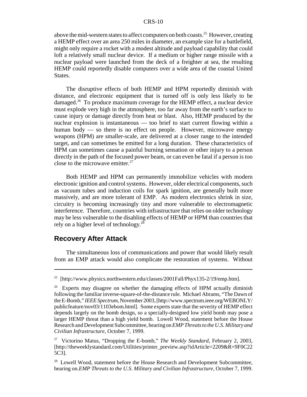above the mid-western states to affect computers on both coasts.<sup>25</sup> However, creating a HEMP effect over an area 250 miles in diameter, an example size for a battlefield, might only require a rocket with a modest altitude and payload capability that could loft a relatively small nuclear device. If a medium or higher range missile with a nuclear payload were launched from the deck of a freighter at sea, the resulting HEMP could reportedly disable computers over a wide area of the coastal United States.

The disruptive effects of both HEMP and HPM reportedly diminish with distance, and electronic equipment that is turned off is only less likely to be damaged.<sup>26</sup> To produce maximum coverage for the HEMP effect, a nuclear device must explode very high in the atmosphere, too far away from the earth's surface to cause injury or damage directly from heat or blast. Also, HEMP produced by the nuclear explosion is instantaneous — too brief to start current flowing within a human body — so there is no effect on people. However, microwave energy weapons (HPM) are smaller-scale, are delivered at a closer range to the intended target, and can sometimes be emitted for a long duration. These characteristics of HPM can sometimes cause a painful burning sensation or other injury to a person directly in the path of the focused power beam, or can even be fatal if a person is too close to the microwave emitter. $27$ 

Both HEMP and HPM can permanently immobilize vehicles with modern electronic ignition and control systems. However, older electrical components, such as vacuum tubes and induction coils for spark ignition, are generally built more massively, and are more tolerant of EMP. As modern electronics shrink in size, circuitry is becoming increasingly tiny and more vulnerable to electromagnetic interference. Therefore, countries with infrastructure that relies on older technology may be less vulnerable to the disabling effects of HEMP or HPM than countries that rely on a higher level of technology.28

#### **Recovery After Attack**

The simultaneous loss of communications and power that would likely result from an EMP attack would also complicate the restoration of systems. Without

<sup>&</sup>lt;sup>25</sup> [http://www.physics.northwestern.edu/classes/2001Fall/Phyx135-2/19/emp.htm].

 $26$  Experts may disagree on whether the damaging effects of HPM actually diminish following the familiar inverse-square-of-the-distance rule. Michael Abrams, "The Dawn of the E-Bomb," *IEEE Spectrum*, November 2003, [http://www.spectrum.ieee.org/WEBONLY/ publicfeature/nov03/1103ebom.html]. Some experts state that the severity of HEMP effect depends largely on the bomb design, so a specially-designed low yield bomb may pose a larger HEMP threat than a high yield bomb. Lowell Wood, statement before the House Research and Development Subcommittee, hearing on *EMP Threats to the U.S. Military and Civilian Infrastructure*, October 7, 1999.

<sup>27</sup> Victorino Matus, "Dropping the E-bomb," *The Weekly Standard*, February 2, 2003, [http://theweeklystandard.com/Utilities/printer\_preview.asp?idArticle=2209&R=9F0C22 5C3].

<sup>&</sup>lt;sup>28</sup> Lowell Wood, statement before the House Research and Development Subcommittee, hearing on.*EMP Threats to the U.S. Military and Civilian Infrastructure*, October 7, 1999.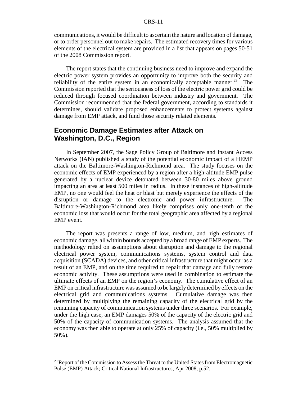communications, it would be difficult to ascertain the nature and location of damage, or to order personnel out to make repairs. The estimated recovery times for various elements of the electrical system are provided in a list that appears on pages 50-51 of the 2008 Commission report.

The report states that the continuing business need to improve and expand the electric power system provides an opportunity to improve both the security and reliability of the entire system in an economically acceptable manner.<sup>29</sup> The Commission reported that the seriousness of loss of the electric power grid could be reduced through focused coordination between industry and government. The Commission recommended that the federal government, according to standards it determines, should validate proposed enhancements to protect systems against damage from EMP attack, and fund those security related elements.

# **Economic Damage Estimates after Attack on Washington, D.C., Region**

In September 2007, the Sage Policy Group of Baltimore and Instant Access Networks (IAN) published a study of the potential economic impact of a HEMP attack on the Baltimore-Washington-Richmond area. The study focuses on the economic effects of EMP experienced by a region after a high-altitude EMP pulse generated by a nuclear device detonated between 30-80 miles above ground impacting an area at least 500 miles in radius. In these instances of high-altitude EMP, no one would feel the heat or blast but merely experience the effects of the disruption or damage to the electronic and power infrastructure. The Baltimore-Washington-Richmond area likely comprises only one-tenth of the economic loss that would occur for the total geographic area affected by a regional EMP event.

The report was presents a range of low, medium, and high estimates of economic damage, all within bounds accepted by a broad range of EMP experts. The methodology relied on assumptions about disruption and damage to the regional electrical power system, communications systems, system control and data acquisition (SCADA) devices, and other critical infrastructure that might occur as a result of an EMP, and on the time required to repair that damage and fully restore economic activity. These assumptions were used in combination to estimate the ultimate effects of an EMP on the region's economy. The cumulative effect of an EMP on critical infrastructure was assumed to be largely determined by effects on the electrical grid and communications systems. Cumulative damage was then determined by multiplying the remaining capacity of the electrical grid by the remaining capacity of communication systems under three scenarios. For example, under the high case, an EMP damages 50% of the capacity of the electric grid and 50% of the capacity of communication systems. The analysis assumed that the economy was then able to operate at only 25% of capacity (i.e., 50% multiplied by 50%).

 $29$  Report of the Commission to Assess the Threat to the United States from Electromagnetic Pulse (EMP) Attack; Critical National Infrastructures, Apr 2008, p.52.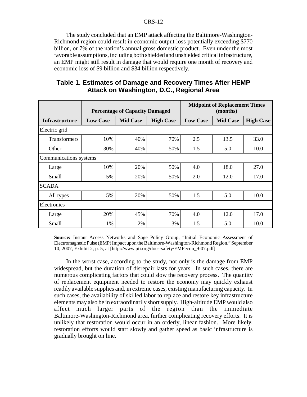The study concluded that an EMP attack affecting the Baltimore-Washington-Richmond region could result in economic output loss potentially exceeding \$770 billion, or 7% of the nation's annual gross domestic product. Even under the most favorable assumptions, including both shielded and unshielded critical infrastructure, an EMP might still result in damage that would require one month of recovery and economic loss of \$9 billion and \$34 billion respectively.

| Table 1. Estimates of Damage and Recovery Times After HEMP |
|------------------------------------------------------------|
| Attack on Washington, D.C., Regional Area                  |

|                        | <b>Percentage of Capacity Damaged</b> |                 |                  | <b>Midpoint of Replacement Times</b><br>(months) |                 |                  |  |  |  |
|------------------------|---------------------------------------|-----------------|------------------|--------------------------------------------------|-----------------|------------------|--|--|--|
| <b>Infrastructure</b>  | <b>Low Case</b>                       | <b>Mid Case</b> | <b>High Case</b> | <b>Low Case</b>                                  | <b>Mid Case</b> | <b>High Case</b> |  |  |  |
| Electric grid          |                                       |                 |                  |                                                  |                 |                  |  |  |  |
| <b>Transformers</b>    | 10%                                   | 40%             | 70%              | 2.5                                              | 13.5            | 33.0             |  |  |  |
| Other                  | 30%                                   | 40%             | 50%              | 1.5                                              | 5.0             | 10.0             |  |  |  |
| Communications systems |                                       |                 |                  |                                                  |                 |                  |  |  |  |
| Large                  | 10%                                   | 20%             | 50%              | 4.0                                              | 18.0            | 27.0             |  |  |  |
| Small                  | 5%                                    | 20%             | 50%              | 2.0                                              | 12.0            | 17.0             |  |  |  |
| <b>SCADA</b>           |                                       |                 |                  |                                                  |                 |                  |  |  |  |
| All types              | 5%                                    | 20%             | 50%              | 1.5                                              | 5.0             | 10.0             |  |  |  |
| Electronics            |                                       |                 |                  |                                                  |                 |                  |  |  |  |
| Large                  | 20%                                   | 45%             | 70%              | 4.0                                              | 12.0            | 17.0             |  |  |  |
| Small                  | 1%                                    | 2%              | 3%               | 1.5                                              | 5.0             | 10.0             |  |  |  |

**Source:** Instant Access Networks and Sage Policy Group, "Initial Economic Assessment of Electromagnetic Pulse (EMP) Impact upon the Baltimore-Washington-Richmond Region," September 10, 2007, Exhibit 2, p. 5, at [http://www.pti.org/docs-safety/EMPecon\_9-07.pdf].

In the worst case, according to the study, not only is the damage from EMP widespread, but the duration of disrepair lasts for years. In such cases, there are numerous complicating factors that could slow the recovery process. The quantity of replacement equipment needed to restore the economy may quickly exhaust readily available supplies and, in extreme cases, existing manufacturing capacity. In such cases, the availability of skilled labor to replace and restore key infrastructure elements may also be in extraordinarily short supply. High-altitude EMP would also affect much larger parts of the region than the immediate Baltimore-Washington-Richmond area, further complicating recovery efforts. It is unlikely that restoration would occur in an orderly, linear fashion. More likely, restoration efforts would start slowly and gather speed as basic infrastructure is gradually brought on line.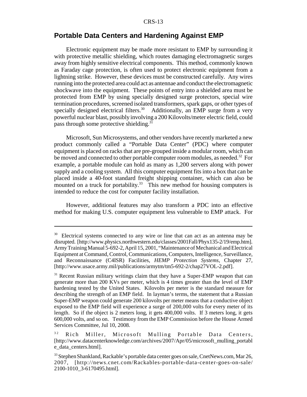# **Portable Data Centers and Hardening Against EMP**

Electronic equipment may be made more resistant to EMP by surrounding it with protective metallic shielding, which routes damaging electromagnetic surges away from highly sensitive electrical components. This method, commonly known as Faraday cage protection, is often used to protect electronic equipment from a lightning strike. However, these devices must be constructed carefully. Any wires running into the protected area could act as antennae and conduct the electromagnetic shockwave into the equipment. These points of entry into a shielded area must be protected from EMP by using specially designed surge protectors, special wire termination procedures, screened isolated transformers, spark gaps, or other types of specially designed electrical filters.<sup>30</sup> Additionally, an EMP surge from a very powerful nuclear blast, possibly involving a 200 Kilovolts/meter electric field, could pass through some protective shielding.<sup>31</sup>

Microsoft, Sun Microsystems, and other vendors have recently marketed a new product commonly called a "Portable Data Center" (PDC) where computer equipment is placed on racks that are pre-grouped inside a modular room, which can be moved and connected to other portable computer room modules, as needed.<sup>32</sup> For example, a portable module can hold as many as 1,200 servers along with power supply and a cooling system. All this computer equipment fits into a box that can be placed inside a 40-foot standard freight shipping container, which can also be mounted on a truck for portability.<sup>33</sup> This new method for housing computers is intended to reduce the cost for computer facility installation.

However, additional features may also transform a PDC into an effective method for making U.S. computer equipment less vulnerable to EMP attack. For

<sup>&</sup>lt;sup>30</sup> Electrical systems connected to any wire or line that can act as an antenna may be disrupted. [http://www.physics.northwestern.edu/classes/2001Fall/Phyx135-2/19/emp.htm]. Army Training Manual 5-692-2, April 15, 2001, "Maintenance of Mechanical and Electrical Equipment at Command, Control, Communications, Computers, Intelligence, Surveillance, and Reconnaissance (C4ISR) Facilities, *HEMP Protection Systems*, Chapter 27, [http://www.usace.army.mil/publications/armytm/tm5-692-2/chap27VOL-2.pdf].

<sup>&</sup>lt;sup>31</sup> Recent Russian military writings claim that they have a Super-EMP weapon that can generate more than 200 KVs per meter, which is 4 times greater than the level of EMP hardening tested by the United States. Kilovolts per meter is the standard measure for describing the strength of an EMP field. In layman's terms, the statement that a Russian Super-EMP weapon could generate 200 kilovolts per meter means that a conductive object exposed to the EMP field will experience a surge of 200,000 volts for every meter of its length. So if the object is 2 meters long, it gets 400,000 volts. If 3 meters long, it gets 600,000 volts, and so on. Testimony from the EMP Commission before the House Armed Services Committee, Jul 10, 2008.

<sup>&</sup>lt;sup>32</sup> Rich Miller, Microsoft Mulling Portable Data Centers, [http://www.datacenterknowledge.com/archives/2007/Apr/05/microsoft\_mulling\_portabl e\_data\_centers.html].

<sup>33</sup> Stephen Shankland, Rackable's portable data center goes on sale, CnetNews.com, Mar 26, 2007, [http://news.cnet.com/Rackables-portable-data-center-goes-on-sale/ 2100-1010\_3-6170495.html].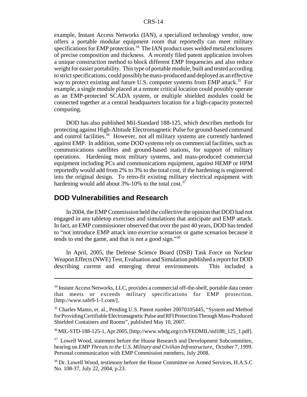example, Instant Access Networks (IAN), a specialized technology vendor, now offers a portable modular equipment room that reportedly can meet military specifications for EMP protection.<sup>34</sup> The IAN product uses welded metal enclosures of precise composition and thickness. A recently filed patent application involves a unique construction method to block different EMP frequencies and also reduce weight for easier portability. This type of portable module, built and tested according to strict specifications, could possibly be mass-produced and deployed as an effective way to protect existing and future U.S. computer systems from EMP attack.<sup>35</sup> For example, a single module placed at a remote critical location could possibly operate as an EMP-protected SCADA system, or multiple shielded modules could be connected together at a central headquarters location for a high-capacity protected computing.

DOD has also published Mil-Standard 188-125, which describes methods for protecting against High-Altitude Electromagnetic Pulse for ground-based command and control facilities.<sup>36</sup> However, not all military systems are currently hardened against EMP. In addition, some DOD systems rely on commercial facilities, such as communications satellites and ground-based stations, for support of military operations. Hardening most military systems, and mass-produced commercial equipment including PCs and communications equipment, against HEMP or HPM reportedly would add from 2% to 3% to the total cost, if the hardening is engineered into the original design. To retro-fit existing military electrical equipment with hardening would add about  $3\% - 10\%$  to the total cost.<sup>37</sup>

#### **DOD Vulnerabilities and Research**

In 2004, the EMP Commission held the collective the opinion that DOD had not engaged in any tabletop exercises and simulations that anticipate and EMP attack. In fact, an EMP commissioner observed that over the past 40 years, DOD has tended to "not introduce EMP attack into exercise scenarios or game scenarios because it tends to end the game, and that is not a good sign."38

In April, 2005, the Defense Science Board (DSB) Task Force on Nuclear Weapon Effects (NWE) Test, Evaluation and Simulation published a report for DOD describing current and emerging threat environments. This included a

36 MIL-STD-188-125-1, Apr 2005, [http://www.wbdg.org/ccb/FEDMIL/std188\_125\_1.pdf].

<sup>&</sup>lt;sup>34</sup> Instant Access Networks, LLC, provides a commercial off-the-shelf, portable data center that meets or exceeds military specifications for EMP protection. [http://www.safe9-1-1.com/].

<sup>&</sup>lt;sup>35</sup> Charles Manto, et. al., Pending U.S. Patent number 20070105445, "System and Method for Providing Certifiable Electromagnetic Pulse and RFI Protection Through Mass-Produced Shielded Containers and Rooms", published May 10, 2007.

<sup>&</sup>lt;sup>37</sup> Lowell Wood, statement before the House Research and Development Subcommittee, hearing on *EMP Threats to the U.S. Military and Civilian Infrastructure*, October 7, 1999. Personal communication with EMP Commission members, July 2008.

<sup>&</sup>lt;sup>38</sup> Dr. Lowell Wood, testimony before the House Committee on Armed Services, H.A.S.C No. 108-37, July 22, 2004, p.23.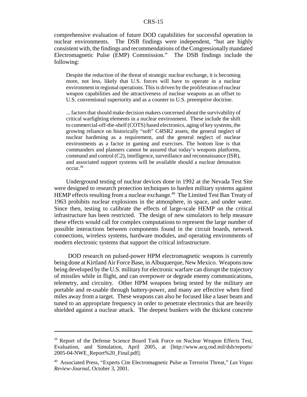comprehensive evaluation of future DOD capabilities for successful operation in nuclear environments. The DSB findings were independent, "but are highly consistent with, the findings and recommendations of the Congressionally mandated Electromagnetic Pulse (EMP) Commission." The DSB findings include the following:

Despite the reduction of the threat of strategic nuclear exchange, it is becoming more, not less, likely that U.S. forces will have to operate in a nuclear environment in regional operations. This is driven by the proliferation of nuclear weapon capabilities and the attractiveness of nuclear weapons as an offset to U.S. conventional superiority and as a counter to U.S. preemptive doctrine.

... factors that should make decision makers concerned about the survivability of critical warfighting elements in a nuclear environment. These include the shift to commercial-off-the-shelf (COTS) based electronics, aging of key systems, the growing reliance on historically "soft" C4ISR2 assets, the general neglect of nuclear hardening as a requirement, and the general neglect of nuclear environments as a factor in gaming and exercises. The bottom line is that commanders and planners cannot be assured that today's weapons platforms, command and control (C2), intelligence, surveillance and reconnaissance (ISR), and associated support systems will be available should a nuclear detonation occur.39

Underground testing of nuclear devices done in 1992 at the Nevada Test Site were designed to research protection techniques to harden military systems against HEMP effects resulting from a nuclear exchange.<sup>40</sup> The Limited Test Ban Treaty of 1963 prohibits nuclear explosions in the atmosphere, in space, and under water. Since then, testing to calibrate the effects of large-scale HEMP on the critical infrastructure has been restricted. The design of new simulators to help measure these effects would call for complex computations to represent the large number of possible interactions between components found in the circuit boards, network connections, wireless systems, hardware modules, and operating environments of modern electronic systems that support the critical infrastructure.

 DOD research on pulsed-power HPM electromagnetic weapons is currently being done at Kirtland Air Force Base, in Albuquerque, New Mexico. Weapons now being developed by the U.S. military for electronic warfare can disrupt the trajectory of missiles while in flight, and can overpower or degrade enemy communications, telemetry, and circuitry. Other HPM weapons being tested by the military are portable and re-usable through battery-power, and many are effective when fired miles away from a target. These weapons can also be focused like a laser beam and tuned to an appropriate frequency in order to penetrate electronics that are heavily shielded against a nuclear attack. The deepest bunkers with the thickest concrete

<sup>&</sup>lt;sup>39</sup> Report of the Defense Science Board Task Force on Nuclear Weapon Effects Test, Evaluation, and Simulation, April 2005, at [http://www.acq.osd.mil/dsb/reports/ 2005-04-NWE\_Report%20\_Final.pdf].

<sup>40</sup> Associated Press, "Experts Cite Electromagnetic Pulse as Terrorist Threat," *Las Vegas Review-Journal*, October 3, 2001.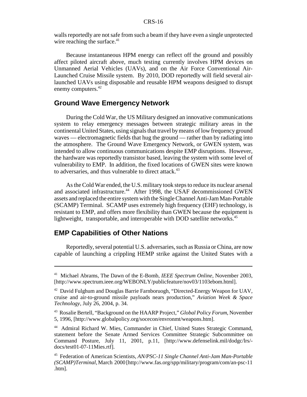walls reportedly are not safe from such a beam if they have even a single unprotected wire reaching the surface. $41$ 

Because instantaneous HPM energy can reflect off the ground and possibly affect piloted aircraft above, much testing currently involves HPM devices on Unmanned Aerial Vehicles (UAVs), and on the Air Force Conventional Air-Launched Cruise Missile system. By 2010, DOD reportedly will field several airlaunched UAVs using disposable and reusable HPM weapons designed to disrupt enemy computers.<sup>42</sup>

# **Ground Wave Emergency Network**

During the Cold War, the US Military designed an innovative communications system to relay emergency messages between strategic military areas in the continental United States, using signals that travel by means of low frequency ground waves — electromagnetic fields that hug the ground — rather than by radiating into the atmosphere. The Ground Wave Emergency Network, or GWEN system, was intended to allow continuous communications despite EMP disruptions. However, the hardware was reportedly transistor based, leaving the system with some level of vulnerability to EMP. In addition, the fixed locations of GWEN sites were known to adversaries, and thus vulnerable to direct attack.<sup>43</sup>

As the Cold War ended, the U.S. military took steps to reduce its nuclear arsenal and associated infrastructure.<sup>44</sup> After 1998, the USAF decommissioned GWEN assets and replaced the entire system with the Single Channel Anti-Jam Man-Portable (SCAMP) Terminal. SCAMP uses extremely high frequency (EHF) technology, is resistant to EMP, and offers more flexibility than GWEN because the equipment is lightweight, transportable, and interoperable with DOD satellite networks.<sup>45</sup>

# **EMP Capabilities of Other Nations**

Reportedly, several potential U.S. adversaries, such as Russia or China, are now capable of launching a crippling HEMP strike against the United States with a

<sup>41</sup> Michael Abrams, The Dawn of the E-Bomb, *IEEE Spectrum Online*, November 2003, [http://www.spectrum.ieee.org/WEBONLY/publicfeature/nov03/1103ebom.html].

 $42$  David Fulghum and Douglas Barrie Farnboruogh, "Directed-Energy Weapon for UAV, cruise and air-to-ground missile payloads nears production," *Aviation Week & Space Technology*, July 26, 2004, p. 34.

<sup>43</sup> Rosalie Bertell, "Background on the HAARP Project," *Global Policy Forum*, November 5, 1996, [http://www.globalpolicy.org/socecon/envronmt/weapons.htm].

<sup>44</sup> Admiral Richard W. Mies, Commander in Chief, United States Strategic Command, statement before the Senate Armed Services Committee Strategic Subcommittee on Command Posture, July 11, 2001, p.11, [http://www.defenselink.mil/dodgc/lrs/ docs/test01-07-11Mies.rtf].

<sup>45</sup> Federation of American Scientists, *AN/PSC-11 Single Channel Anti-Jam Man-Portable (SCAMP)Terminal*, March 2000 [http://www.fas.org/spp/military/program/com/an-psc-11 .htm].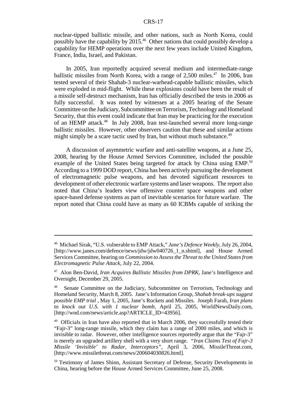nuclear-tipped ballistic missile, and other nations, such as North Korea, could possibly have the capability by 2015.46 Other nations that could possibly develop a capability for HEMP operations over the next few years include United Kingdom, France, India, Israel, and Pakistan.

In 2005, Iran reportedly acquired several medium and intermediate-range ballistic missiles from North Korea, with a range of 2,500 miles. $47$  In 2006, Iran tested several of their Shahab-3 nuclear-warhead-capable ballistic missiles, which were exploded in mid-flight. While these explosions could have been the result of a missile self-destruct mechanism, Iran has officially described the tests in 2006 as fully successful. It was noted by witnesses at a 2005 hearing of the Senate Committee on the Judiciary, Subcommittee on Terrorism, Technology and Homeland Security, that this event could indicate that Iran may be practicing for the execution of an HEMP attack.48 In July 2008, Iran test-launched several more long-range ballistic missiles. However, other observers caution that these and similar actions might simply be a scare tactic used by Iran, but without much substance.<sup>49</sup>

A discussion of asymmetric warfare and anti-satellite weapons, at a June 25, 2008, hearing by the House Armed Services Committee, included the possible example of the United States being targeted for attack by China using EMP.<sup>50</sup> According to a 1999 DOD report, China has been actively pursuing the development of electromagnetic pulse weapons, and has devoted significant resources to development of other electronic warfare systems and laser weapons. The report also noted that China's leaders view offensive counter space weapons and other space-based defense systems as part of inevitable scenarios for future warfare. The report noted that China could have as many as 60 ICBMs capable of striking the

<sup>46</sup> Michael Sirak, "U.S. vulnerable to EMP Attack," *Jane's Defence Weekly*, July 26, 2004, [http://www.janes.com/defence/news/jdw/jdw040726\_1\_n.shtml], and House Armed Services Committee, hearing on *Commission to Assess the Threat to the United States from Electromagnetic Pulse Attack*, July 22, 2004.

<sup>47</sup> Alon Ben-David, *Iran Acquires Ballistic Missiles from DPRK*, Jane's Intelligence and Oversight, December 29, 2005.

<sup>&</sup>lt;sup>48</sup> Senate Committee on the Judiciary, Subcommittee on Terrorism, Technology and Homeland Security, March 8, 2005. Jane's Information Group, *Shahab break-ups suggest possible EMP trial* , May 1, 2005, Jane's Rockets and Missiles. Joseph Farah, *Iran plans to knock out U.S. with 1 nuclear bomb*, April 25, 2005, WorldNewsDaily.com, [http://wnd.com/news/article.asp?ARTICLE\_ID=43956].

<sup>&</sup>lt;sup>49</sup> Officials in Iran have also reported that in March 2006, they successfully tested their "Fajr-3" long-range missile, which they claim has a range of 2000 miles, and which is invisible to radar. However, other intelligence sources reportedly argue that the "Fajr-3" is merely an upgraded artillery shell with a very short range. *"Iran Claims Test of Fajr-3 Missile 'Invisible' to Radar, Interceptors"*, April 3, 2006, MissileThreat.com, [http://www.missilethreat.com/news/200604030826.html].

<sup>&</sup>lt;sup>50</sup> Testimony of James Shinn, Assistant Secretary of Defense, Security Developments in China, hearing before the House Armed Services Committee, June 25, 2008.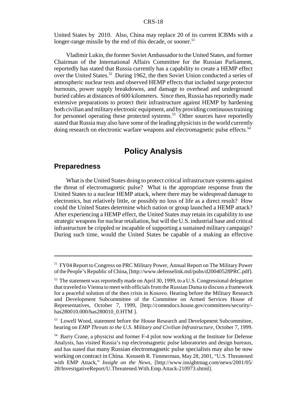United States by 2010. Also, China may replace 20 of its current ICBMs with a longer-range missile by the end of this decade, or sooner.<sup>51</sup>

Vladimir Lukin, the former Soviet Ambassador to the United States, and former Chairman of the International Affairs Committee for the Russian Parliament, reportedly has stated that Russia currently has a capability to create a HEMP effect over the United States.<sup>52</sup> During 1962, the then Soviet Union conducted a series of atmospheric nuclear tests and observed HEMP effects that included surge protector burnouts, power supply breakdowns, and damage to overhead and underground buried cables at distances of 600 kilometers. Since then, Russia has reportedly made extensive preparations to protect their infrastructure against HEMP by hardening both civilian and military electronic equipment, and by providing continuous training for personnel operating these protected systems.<sup>53</sup> Other sources have reportedly stated that Russia may also have some of the leading physicists in the world currently doing research on electronic warfare weapons and electromagnetic pulse effects.<sup>54</sup>

# **Policy Analysis**

## **Preparedness**

What is the United States doing to protect critical infrastructure systems against the threat of electromagnetic pulse? What is the appropriate response from the United States to a nuclear HEMP attack, where there may be widespread damage to electronics, but relatively little, or possibly no loss of life as a direct result? How could the United States determine which nation or group launched a HEMP attack? After experiencing a HEMP effect, the United States may retain its capability to use strategic weapons for nuclear retaliation, but will the U.S. industrial base and critical infrastructure be crippled or incapable of supporting a sustained military campaign? During such time, would the United States be capable of a making an effective

<sup>&</sup>lt;sup>51</sup> FY04 Report to Congress on PRC Military Power, Annual Report on The Military Power of the People's Republic of China, [http://www.defenselink.mil/pubs/d20040528PRC.pdf].

<sup>&</sup>lt;sup>52</sup> The statement was reportedly made on April 30, 1999, to a U.S. Congressional delegation that traveled to Vienna to meet with officials from the Russian Duma to discuss a framework for a peaceful solution of the then crisis in Kosovo. Hearing before the Military Research and Development Subcommittee of the Committee on Armed Services House of Representatives, October 7, 1999, [http://commdocs.house.gov/committees/security/ has280010.000/has280010\_0.HTM ].

<sup>&</sup>lt;sup>53</sup> Lowell Wood, statement before the House Research and Development Subcommittee, hearing on *EMP Threats to the U.S. Military and Civilian Infrastructure*, October 7, 1999.

<sup>54</sup> Barry Crane, a physicist and former F-4 pilot now working at the Institute for Defense Analysis, has visited Russia's top electromagnetic pulse laboratories and design bureaus, and has stated that many Russian electromagnetic pulse specialists may also be now working on contract in China. Kenneth R. Timmerman, May 28, 2001, "U.S. Threatened with EMP Attack," *Insight on the News*, [http://www.insightmag.com/news/2001/05/ 28/InvestigativeReport/U.Threatened.With.Emp.Attack-210973.shtml].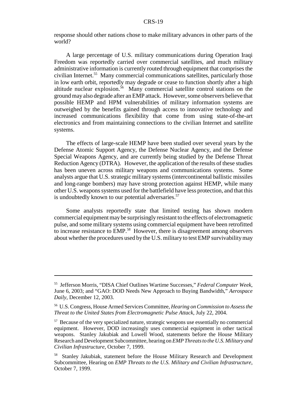response should other nations chose to make military advances in other parts of the world?

A large percentage of U.S. military communications during Operation Iraqi Freedom was reportedly carried over commercial satellites, and much military administrative information is currently routed through equipment that comprises the civilian Internet.55 Many commercial communications satellites, particularly those in low earth orbit, reportedly may degrade or cease to function shortly after a high altitude nuclear explosion.<sup>56</sup> Many commercial satellite control stations on the ground may also degrade after an EMP attack. However, some observers believe that possible HEMP and HPM vulnerabilities of military information systems are outweighed by the benefits gained through access to innovative technology and increased communications flexibility that come from using state-of-the-art electronics and from maintaining connections to the civilian Internet and satellite systems.

The effects of large-scale HEMP have been studied over several years by the Defense Atomic Support Agency, the Defense Nuclear Agency, and the Defense Special Weapons Agency, and are currently being studied by the Defense Threat Reduction Agency (DTRA). However, the application of the results of these studies has been uneven across military weapons and communications systems. Some analysts argue that U.S. strategic military systems (intercontinental ballistic missiles and long-range bombers) may have strong protection against HEMP, while many other U.S. weapons systems used for the battlefield have less protection, and that this is undoubtedly known to our potential adversaries.<sup>57</sup>

Some analysts reportedly state that limited testing has shown modern commercial equipment may be surprisingly resistant to the effects of electromagnetic pulse, and some military systems using commercial equipment have been retrofitted to increase resistance to EMP.<sup>58</sup> However, there is disagreement among observers about whether the procedures used by the U.S. military to test EMP survivability may

<sup>55</sup> Jefferson Morris, "DISA Chief Outlines Wartime Successes," *Federal Computer Week*, June 6, 2003; and "GAO: DOD Needs New Approach to Buying Bandwidth," *Aerospace Daily*, December 12, 2003.

<sup>56</sup> U.S. Congress, House Armed Services Committee, *Hearing on Commission to Assess the Threat to the United States from Electromagnetic Pulse Attack*, July 22, 2004.

<sup>&</sup>lt;sup>57</sup> Because of the very specialized nature, strategic weapons use essentially no commercial equipment. However, DOD increasingly uses commercial equipment in other tactical weapons. Stanley Jakubiak and Lowell Wood, statements before the House Military Research and Development Subcommittee, hearing on *EMP Threats to the U.S. Military and Civilian Infrastructure*, October 7, 1999.

<sup>&</sup>lt;sup>58</sup> Stanley Jakubiak, statement before the House Military Research and Development Subcommittee, Hearing on *EMP Threats to the U.S. Military and Civilian Infrastructure*, October 7, 1999.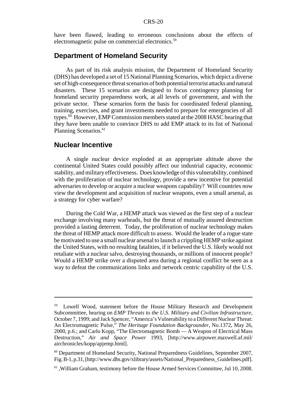have been flawed, leading to erroneous conclusions about the effects of electromagnetic pulse on commercial electronics.<sup>59</sup>

# **Department of Homeland Security**

As part of its risk analysis mission, the Department of Homeland Security (DHS) has developed a set of 15 National Planning Scenarios, which depict a diverse set of high-consequence threat scenarios of both potential terrorist attacks and natural disasters. These 15 scenarios are designed to focus contingency planning for homeland security preparedness work, at all levels of government, and with the private sector. These scenarios form the basis for coordinated federal planning, training, exercises, and grant investments needed to prepare for emergencies of all types.<sup>60</sup> However, EMP Commission members stated at the 2008 HASC hearing that they have been unable to convince DHS to add EMP attack to its list of National Planning Scenarios.<sup>61</sup>

#### **Nuclear Incentive**

A single nuclear device exploded at an appropriate altitude above the continental United States could possibly affect our industrial capacity, economic stability, and military effectiveness. Does knowledge of this vulnerability, combined with the proliferation of nuclear technology, provide a new incentive for potential adversaries to develop or acquire a nuclear weapons capability? Will countries now view the development and acquisition of nuclear weapons, even a small arsenal, as a strategy for cyber warfare?

During the Cold War, a HEMP attack was viewed as the first step of a nuclear exchange involving many warheads, but the threat of mutually assured destruction provided a lasting deterrent. Today, the proliferation of nuclear technology makes the threat of HEMP attack more difficult to assess. Would the leader of a rogue state be motivated to use a small nuclear arsenal to launch a crippling HEMP strike against the United States, with no resulting fatalities, if it believed the U.S. likely would not retaliate with a nuclear salvo, destroying thousands, or millions of innocent people? Would a HEMP strike over a disputed area during a regional conflict be seen as a way to defeat the communications links and network centric capability of the U.S.

Lowell Wood, statement before the House Military Research and Development Subcommittee, hearing on *EMP Threats to the U.S. Military and Civilian Infrastructure*, October 7, 1999; and Jack Spencer, "America's Vulnerability to a Different Nuclear Threat: An Electromagnetic Pulse," *The Heritage Foundation Backgrounder*, No.1372, May 26, 2000, p.6.; and Carlo Kopp, "The Electromagnetic Bomb — A Weapon of Electrical Mass Destruction," *Air and Space Power* 1993, [http://www.airpower.maxwell.af.mil/ airchronicles/kopp/apjemp.html].

<sup>60</sup> Department of Homeland Security, National Preparedness Guidelines, September 2007, Fig. B-1, p.31, [http://www.dhs.gov/xlibrary/assets/National\_Preparedness\_Guidelines.pdf].

 $<sup>61</sup>$ , William Graham, testimony before the House Armed Services Committee, Jul 10, 2008.</sup>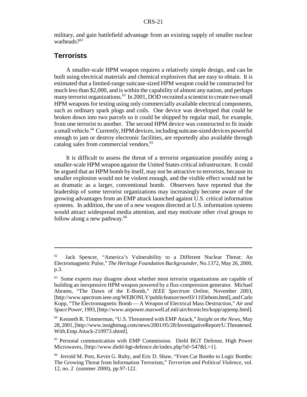military, and gain battlefield advantage from an existing supply of smaller nuclear warheads?<sup>62</sup>

# **Terrorists**

A smaller-scale HPM weapon requires a relatively simple design, and can be built using electrical materials and chemical explosives that are easy to obtain. It is estimated that a limited-range suitcase-sized HPM weapon could be constructed for much less than \$2,000, and is within the capability of almost any nation, and perhaps many terrorist organizations.<sup>63</sup> In 2001, DOD recruited a scientist to create two small HPM weapons for testing using only commercially available electrical components, such as ordinary spark plugs and coils. One device was developed that could be broken down into two parcels so it could be shipped by regular mail, for example, from one terrorist to another. The second HPM device was constructed to fit inside a small vehicle.<sup>64</sup> Currently, HPM devices, including suitcase-sized devices powerful enough to jam or destroy electronic facilities, are reportedly also available through catalog sales from commercial vendors.<sup>65</sup>

It is difficult to assess the threat of a terrorist organization possibly using a smaller-scale HPM weapon against the United States critical infrastructure. It could be argued that an HPM bomb by itself, may not be attractive to terrorists, because its smaller explosion would not be violent enough, and the visible effect would not be as dramatic as a larger, conventional bomb. Observers have reported that the leadership of some terrorist organizations may increasingly become aware of the growing advantages from an EMP attack launched against U.S. critical information systems. In addition, the use of a new weapon directed at U.S. information systems would attract widespread media attention, and may motivate other rival groups to follow along a new pathway. $66$ 

<sup>&</sup>lt;sup>62</sup> Jack Spencer, "America's Vulnerability to a Different Nuclear Threat: An Electromagnetic Pulse," *The Heritage Foundation Backgrounder*, No.1372, May 26, 2000, p.3.

<sup>&</sup>lt;sup>63</sup> Some experts may disagree about whether most terrorist organizations are capable of building an inexpensive HPM weapon powered by a flux-compression generator. Michael Abrams, "The Dawn of the E-Bomb," *IEEE Spectrum Online*, November 2003, [http://www.spectrum.ieee.org/WEBONLY/publicfeature/nov03/1103ebom.html], and Carlo Kopp, "The Electromagnetic Bomb — A Weapon of Electrical Mass Destruction," *Air and Space Power*, 1993, [http://www.airpower.maxwell.af.mil/airchronicles/kopp/apjemp.html].

<sup>64</sup> Kenneth R. Timmerman, "U.S. Threatened with EMP Attack," *Insight on the News*, May 28, 2001, [http://www.insightmag.com/news/2001/05/28/InvestigativeReport/U.Threatened. With.Emp.Attack-210973.shtml].

<sup>65</sup> Personal communication with EMP Commission. Diehl BGT Defense, High Power Microwaves, [http://www.diehl-bgt-defence.de/index.php?id=547&L=1].

<sup>&</sup>lt;sup>66</sup> Jerrold M. Post, Kevin G. Ruby, and Eric D. Shaw, "From Car Bombs to Logic Bombs: The Growing Threat from Information Terrorism," *Terrorism and Political Violence*, vol. 12, no. 2 (summer 2000), pp.97-122.